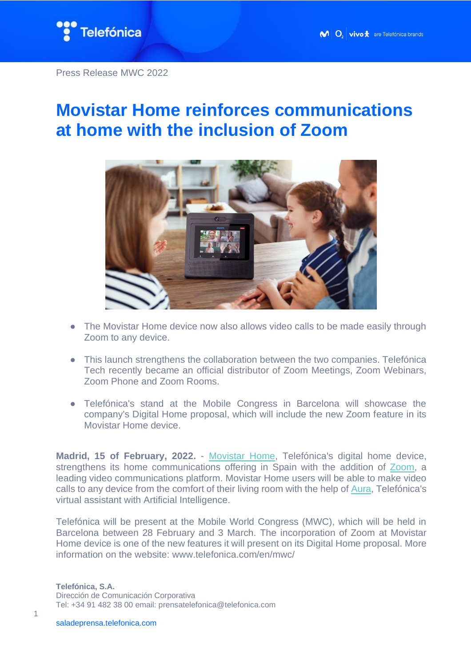

## **Movistar Home reinforces communications at home with the inclusion of Zoom**



- The Movistar Home device now also allows video calls to be made easily through Zoom to any device.
- This launch strengthens the collaboration between the two companies. Telefónica Tech recently became an official distributor of Zoom Meetings, Zoom Webinars, Zoom Phone and Zoom Rooms.
- Telefónica's stand at the Mobile Congress in Barcelona will showcase the company's Digital Home proposal, which will include the new Zoom feature in its Movistar Home device.

**Madrid, 15 of February, 2022.** - [Movistar Home,](https://web.movistar.es/particulares/promociones/movistar-home) Telefónica's digital home device, strengthens its home communications offering in Spain with the addition of [Zoom,](https://zoom.us/) a leading video communications platform. Movistar Home users will be able to make video calls to any device from the comfort of their living room with the help of [Aura,](https://aura.telefonica.com/movistar-home) Telefónica's virtual assistant with Artificial Intelligence.

Telefónica will be present at the Mobile World Congress (MWC), which will be held in Barcelona between 28 February and 3 March. The incorporation of Zoom at Movistar Home device is one of the new features it will present on its Digital Home proposal. More information on the website: www.telefonica.com/en/mwc/

**Telefónica, S.A.** Dirección de Comunicación Corporativa Tel: +34 91 482 38 00 email: prensatelefonica@telefonica.com